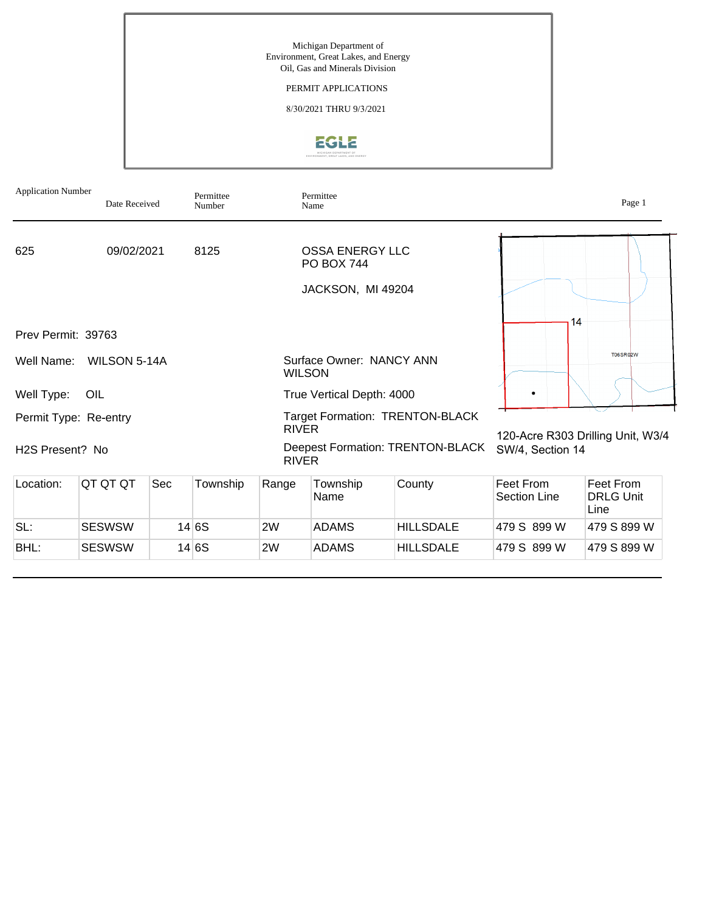Michigan Department of Environment, Great Lakes, and Energy Oil, Gas and Minerals Division

## PERMIT APPLICATIONS

8/30/2021 THRU 9/3/2021



| <b>Application Number</b><br>Permittee<br>Date Received<br>Number |               |     |          |              | Permittee<br>Name                           |                                  | Page 1                            |                                       |  |
|-------------------------------------------------------------------|---------------|-----|----------|--------------|---------------------------------------------|----------------------------------|-----------------------------------|---------------------------------------|--|
| 625                                                               | 09/02/2021    |     | 8125     |              | <b>OSSA ENERGY LLC</b><br><b>PO BOX 744</b> |                                  |                                   |                                       |  |
|                                                                   |               |     |          |              | JACKSON, MI 49204                           |                                  |                                   |                                       |  |
| Prev Permit: 39763                                                |               |     |          |              |                                             |                                  | 14                                |                                       |  |
| Well Name:                                                        | WILSON 5-14A  |     |          |              | Surface Owner: NANCY ANN<br><b>WILSON</b>   |                                  |                                   | T06SR02W                              |  |
| Well Type:                                                        | OIL           |     |          |              | True Vertical Depth: 4000                   |                                  |                                   |                                       |  |
| Permit Type: Re-entry                                             |               |     |          | <b>RIVER</b> |                                             | Target Formation: TRENTON-BLACK  | 120-Acre R303 Drilling Unit, W3/4 |                                       |  |
| H <sub>2</sub> S Present? No                                      |               |     |          | <b>RIVER</b> |                                             | Deepest Formation: TRENTON-BLACK | SW/4, Section 14                  |                                       |  |
| Location:                                                         | QT QT QT      | Sec | Township | Range        | Township<br>Name                            | County                           | Feet From<br>Section Line         | Feet From<br><b>DRLG Unit</b><br>Line |  |
| SL:                                                               | <b>SESWSW</b> |     | 14 6S    | 2W           | <b>ADAMS</b>                                | <b>HILLSDALE</b>                 | 479 S 899 W                       | 479 S 899 W                           |  |
| BHL:                                                              | <b>SESWSW</b> |     | 14 6S    | 2W           | <b>ADAMS</b>                                | <b>HILLSDALE</b>                 | 479 S 899 W                       | 479 S 899 W                           |  |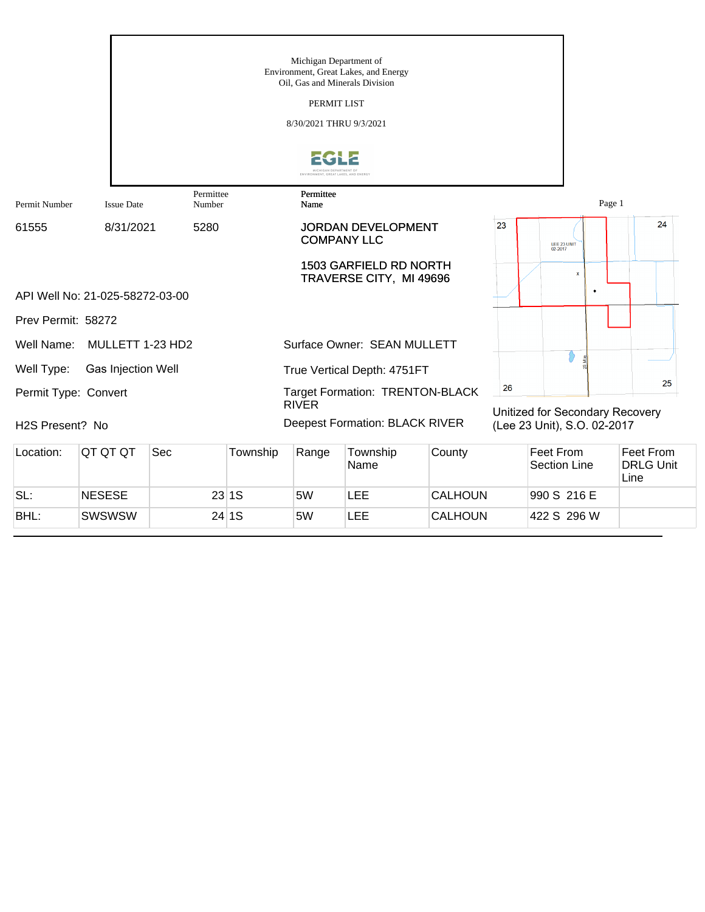|                              |                                 |                     |          | Michigan Department of<br>Oil, Gas and Minerals Division<br>PERMIT LIST<br>8/30/2021 THRU 9/3/2021 | Environment, Great Lakes, and Energy                     |                |    |                                  |   |                                       |    |
|------------------------------|---------------------------------|---------------------|----------|----------------------------------------------------------------------------------------------------|----------------------------------------------------------|----------------|----|----------------------------------|---|---------------------------------------|----|
|                              |                                 |                     |          | ENVIRONMENT, GREAT LAKES, AND ENERG'                                                               |                                                          |                |    |                                  |   |                                       |    |
| Permit Number                | <b>Issue Date</b>               | Permittee<br>Number |          | Permittee<br>Name                                                                                  |                                                          |                |    |                                  |   | Page 1                                |    |
| 61555                        | 8/31/2021                       | 5280                |          |                                                                                                    | <b>JORDAN DEVELOPMENT</b><br><b>COMPANY LLC</b>          |                | 23 | LEE 23 UNIT<br>02-2017           |   |                                       | 24 |
|                              |                                 |                     |          |                                                                                                    | <b>1503 GARFIELD RD NORTH</b><br>TRAVERSE CITY, MI 49696 |                |    |                                  | × |                                       |    |
|                              | API Well No: 21-025-58272-03-00 |                     |          |                                                                                                    |                                                          |                |    |                                  |   |                                       |    |
| Prev Permit: 58272           |                                 |                     |          |                                                                                                    |                                                          |                |    |                                  |   |                                       |    |
| Well Name:                   | MULLETT 1-23 HD2                |                     |          |                                                                                                    | Surface Owner: SEAN MULLETT                              |                |    |                                  |   |                                       |    |
| Well Type:                   | Gas Injection Well              |                     |          |                                                                                                    | True Vertical Depth: 4751FT                              |                |    |                                  |   |                                       |    |
| Permit Type: Convert         |                                 |                     |          |                                                                                                    | Target Formation: TRENTON-BLACK                          |                | 26 |                                  |   |                                       | 25 |
| H <sub>2</sub> S Present? No |                                 |                     |          | <b>RIVER</b>                                                                                       | Deepest Formation: BLACK RIVER                           |                |    | (Lee 23 Unit), S.O. 02-2017      |   | Unitized for Secondary Recovery       |    |
| Location:                    | QT QT QT                        | Sec                 | Township | Range                                                                                              | Township<br>Name                                         | County         |    | Feet From<br><b>Section Line</b> |   | Feet From<br><b>DRLG Unit</b><br>Line |    |
| SL:                          | <b>NESESE</b>                   |                     | 23 1S    | 5W                                                                                                 | LEE                                                      | <b>CALHOUN</b> |    | 990 S 216 E                      |   |                                       |    |

BHL: SWSWSW 24 1S 5W LEE CALHOUN 422 S 296 W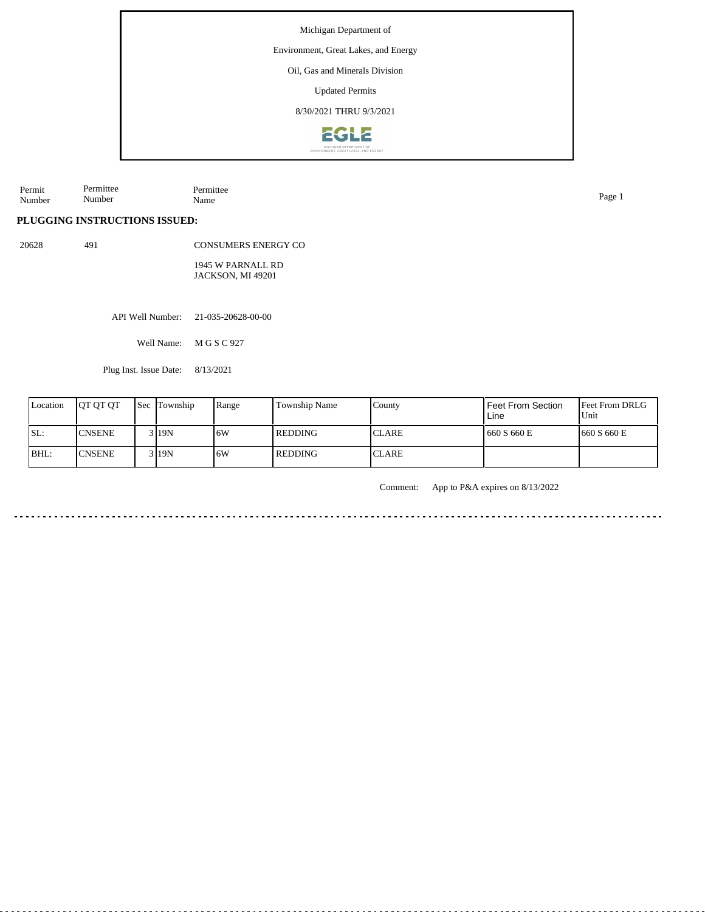Michigan Department of

Environment, Great Lakes, and Energy

Oil, Gas and Minerals Division

Updated Permits

8/30/2021 THRU 9/3/2021



Permit Number Permittee Number Permittee Name Page 1

## **PLUGGING INSTRUCTIONS ISSUED:**

20628 491

CONSUMERS ENERGY CO 1945 W PARNALL RD JACKSON, MI 49201

API Well Number: 21-035-20628-00-00

Well Name: M G S C 927

Plug Inst. Issue Date: 8/13/2021

| Location | <b>IOT OT OT</b> | <b>Sec</b> Township | Range | Township Name | County       | l Feet From Section<br>Line | <b>Feet From DRLG</b><br>Unit |
|----------|------------------|---------------------|-------|---------------|--------------|-----------------------------|-------------------------------|
| ISL:     | <b>CNSENE</b>    | 3119N               | 16W   | l REDDING     | <b>CLARE</b> | 660 S 660 E                 | 660 S 660 E                   |
| IBHL:    | <b>CNSENE</b>    | $3$  19N            | .6W   | REDDING       | <b>CLARE</b> |                             |                               |

Comment: App to P&A expires on 8/13/2022

 $\frac{1}{2} \left( \frac{1}{2} \right) \left( \frac{1}{2} \right) \left( \frac{1}{2} \right) \left( \frac{1}{2} \right)$